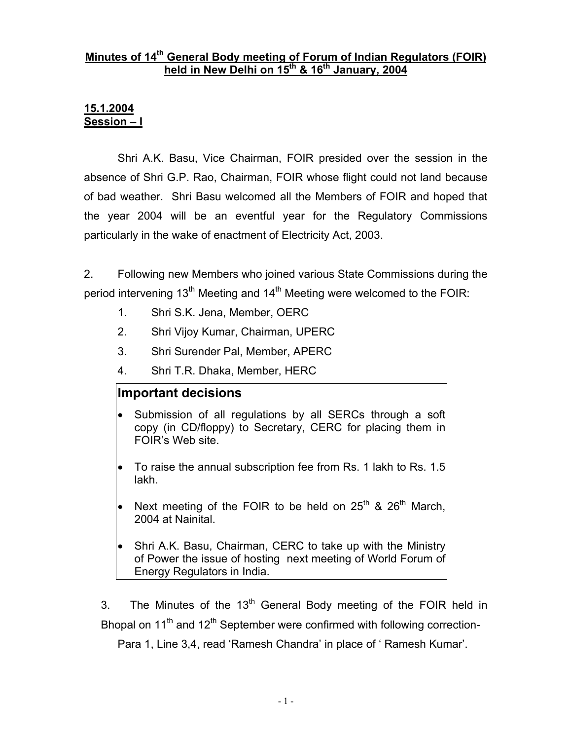#### **Minutes of 14th General Body meeting of Forum of Indian Regulators (FOIR)**  held in New Delhi on 15<sup>th</sup> & 16<sup>th</sup> January, 2004

#### **15.1.2004 Session – I**

 Shri A.K. Basu, Vice Chairman, FOIR presided over the session in the absence of Shri G.P. Rao, Chairman, FOIR whose flight could not land because of bad weather. Shri Basu welcomed all the Members of FOIR and hoped that the year 2004 will be an eventful year for the Regulatory Commissions particularly in the wake of enactment of Electricity Act, 2003.

2. Following new Members who joined various State Commissions during the period intervening 13<sup>th</sup> Meeting and 14<sup>th</sup> Meeting were welcomed to the FOIR:

- 1. Shri S.K. Jena, Member, OERC
- 2. Shri Vijoy Kumar, Chairman, UPERC
- 3. Shri Surender Pal, Member, APERC
- 4. Shri T.R. Dhaka, Member, HERC

# **Important decisions**

- Submission of all regulations by all SERCs through a soft copy (in CD/floppy) to Secretary, CERC for placing them in FOIR's Web site.
- To raise the annual subscription fee from Rs. 1 lakh to Rs. 1.5 lakh.
- Next meeting of the FOIR to be held on  $25<sup>th</sup>$  &  $26<sup>th</sup>$  March. 2004 at Nainital.
- Shri A.K. Basu, Chairman, CERC to take up with the Ministry of Power the issue of hosting next meeting of World Forum of Energy Regulators in India.

3. The Minutes of the  $13<sup>th</sup>$  General Body meeting of the FOIR held in Bhopal on  $11<sup>th</sup>$  and  $12<sup>th</sup>$  September were confirmed with following correction-

Para 1, Line 3,4, read 'Ramesh Chandra' in place of ' Ramesh Kumar'.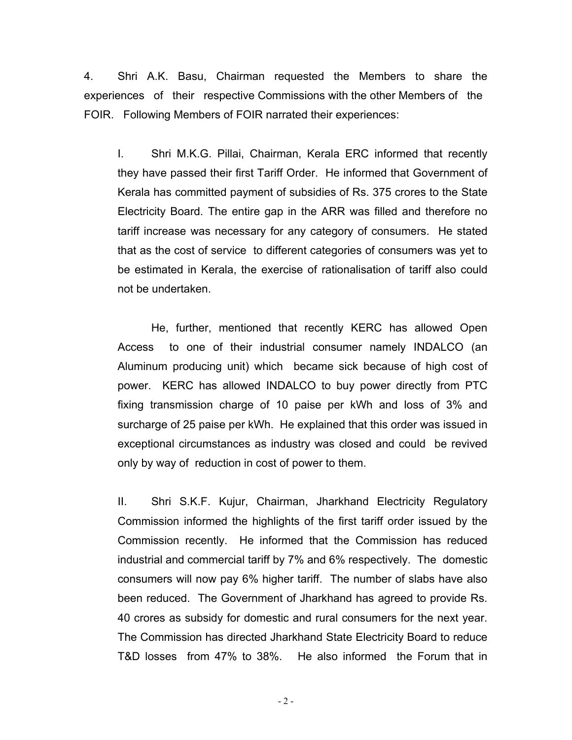4. Shri A.K. Basu, Chairman requested the Members to share the experiences of their respective Commissions with the other Members of the FOIR. Following Members of FOIR narrated their experiences:

I. Shri M.K.G. Pillai, Chairman, Kerala ERC informed that recently they have passed their first Tariff Order. He informed that Government of Kerala has committed payment of subsidies of Rs. 375 crores to the State Electricity Board. The entire gap in the ARR was filled and therefore no tariff increase was necessary for any category of consumers. He stated that as the cost of service to different categories of consumers was yet to be estimated in Kerala, the exercise of rationalisation of tariff also could not be undertaken.

He, further, mentioned that recently KERC has allowed Open Access to one of their industrial consumer namely INDALCO (an Aluminum producing unit) which became sick because of high cost of power. KERC has allowed INDALCO to buy power directly from PTC fixing transmission charge of 10 paise per kWh and loss of 3% and surcharge of 25 paise per kWh. He explained that this order was issued in exceptional circumstances as industry was closed and could be revived only by way of reduction in cost of power to them.

II. Shri S.K.F. Kujur, Chairman, Jharkhand Electricity Regulatory Commission informed the highlights of the first tariff order issued by the Commission recently. He informed that the Commission has reduced industrial and commercial tariff by 7% and 6% respectively. The domestic consumers will now pay 6% higher tariff. The number of slabs have also been reduced. The Government of Jharkhand has agreed to provide Rs. 40 crores as subsidy for domestic and rural consumers for the next year. The Commission has directed Jharkhand State Electricity Board to reduce T&D losses from 47% to 38%. He also informed the Forum that in

 $-2-$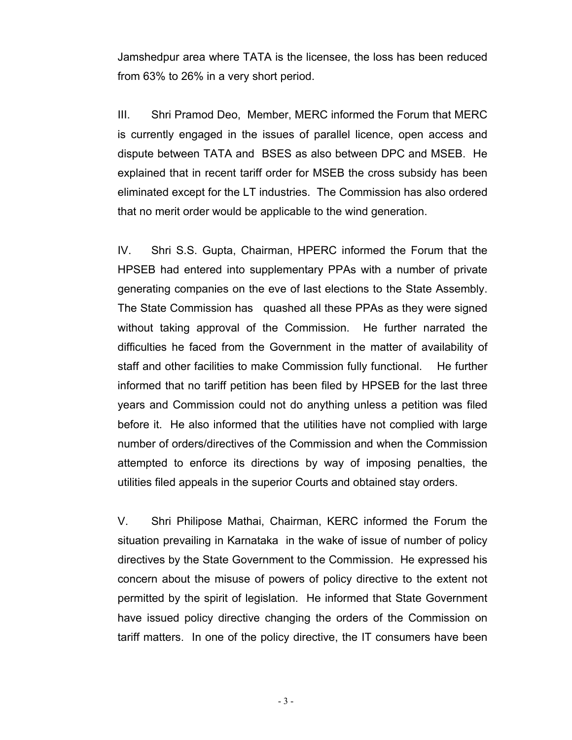Jamshedpur area where TATA is the licensee, the loss has been reduced from 63% to 26% in a very short period.

III. Shri Pramod Deo, Member, MERC informed the Forum that MERC is currently engaged in the issues of parallel licence, open access and dispute between TATA and BSES as also between DPC and MSEB. He explained that in recent tariff order for MSEB the cross subsidy has been eliminated except for the LT industries. The Commission has also ordered that no merit order would be applicable to the wind generation.

IV. Shri S.S. Gupta, Chairman, HPERC informed the Forum that the HPSEB had entered into supplementary PPAs with a number of private generating companies on the eve of last elections to the State Assembly. The State Commission has quashed all these PPAs as they were signed without taking approval of the Commission. He further narrated the difficulties he faced from the Government in the matter of availability of staff and other facilities to make Commission fully functional. He further informed that no tariff petition has been filed by HPSEB for the last three years and Commission could not do anything unless a petition was filed before it. He also informed that the utilities have not complied with large number of orders/directives of the Commission and when the Commission attempted to enforce its directions by way of imposing penalties, the utilities filed appeals in the superior Courts and obtained stay orders.

V. Shri Philipose Mathai, Chairman, KERC informed the Forum the situation prevailing in Karnataka in the wake of issue of number of policy directives by the State Government to the Commission. He expressed his concern about the misuse of powers of policy directive to the extent not permitted by the spirit of legislation. He informed that State Government have issued policy directive changing the orders of the Commission on tariff matters. In one of the policy directive, the IT consumers have been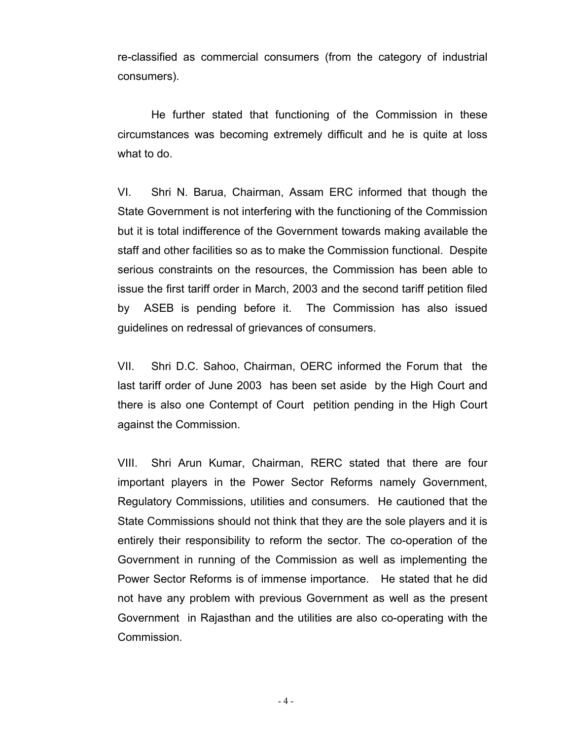re-classified as commercial consumers (from the category of industrial consumers).

He further stated that functioning of the Commission in these circumstances was becoming extremely difficult and he is quite at loss what to do.

VI. Shri N. Barua, Chairman, Assam ERC informed that though the State Government is not interfering with the functioning of the Commission but it is total indifference of the Government towards making available the staff and other facilities so as to make the Commission functional. Despite serious constraints on the resources, the Commission has been able to issue the first tariff order in March, 2003 and the second tariff petition filed by ASEB is pending before it. The Commission has also issued guidelines on redressal of grievances of consumers.

VII. Shri D.C. Sahoo, Chairman, OERC informed the Forum that the last tariff order of June 2003 has been set aside by the High Court and there is also one Contempt of Court petition pending in the High Court against the Commission.

VIII. Shri Arun Kumar, Chairman, RERC stated that there are four important players in the Power Sector Reforms namely Government, Regulatory Commissions, utilities and consumers. He cautioned that the State Commissions should not think that they are the sole players and it is entirely their responsibility to reform the sector. The co-operation of the Government in running of the Commission as well as implementing the Power Sector Reforms is of immense importance. He stated that he did not have any problem with previous Government as well as the present Government in Rajasthan and the utilities are also co-operating with the Commission.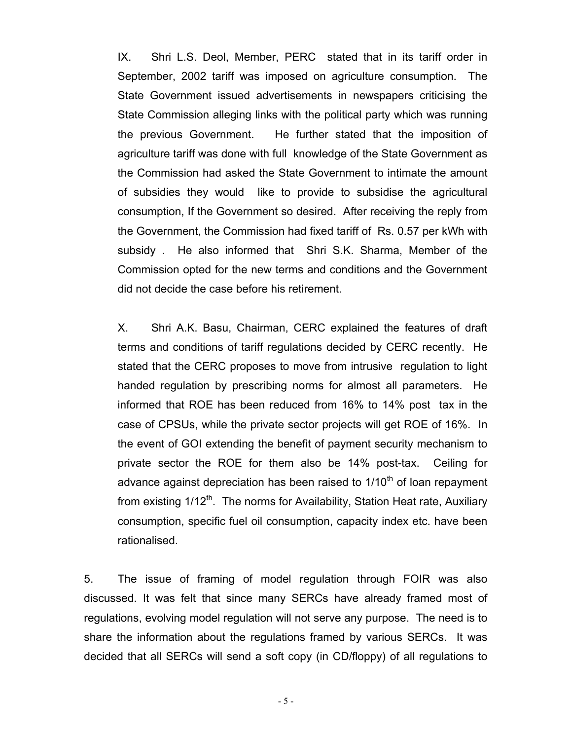IX. Shri L.S. Deol, Member, PERC stated that in its tariff order in September, 2002 tariff was imposed on agriculture consumption. The State Government issued advertisements in newspapers criticising the State Commission alleging links with the political party which was running the previous Government. He further stated that the imposition of agriculture tariff was done with full knowledge of the State Government as the Commission had asked the State Government to intimate the amount of subsidies they would like to provide to subsidise the agricultural consumption, If the Government so desired. After receiving the reply from the Government, the Commission had fixed tariff of Rs. 0.57 per kWh with subsidy . He also informed that Shri S.K. Sharma, Member of the Commission opted for the new terms and conditions and the Government did not decide the case before his retirement.

X. Shri A.K. Basu, Chairman, CERC explained the features of draft terms and conditions of tariff regulations decided by CERC recently. He stated that the CERC proposes to move from intrusive regulation to light handed regulation by prescribing norms for almost all parameters. He informed that ROE has been reduced from 16% to 14% post tax in the case of CPSUs, while the private sector projects will get ROE of 16%. In the event of GOI extending the benefit of payment security mechanism to private sector the ROE for them also be 14% post-tax. Ceiling for advance against depreciation has been raised to  $1/10<sup>th</sup>$  of loan repayment from existing  $1/12^{th}$ . The norms for Availability, Station Heat rate, Auxiliary consumption, specific fuel oil consumption, capacity index etc. have been rationalised.

5. The issue of framing of model regulation through FOIR was also discussed. It was felt that since many SERCs have already framed most of regulations, evolving model regulation will not serve any purpose. The need is to share the information about the regulations framed by various SERCs. It was decided that all SERCs will send a soft copy (in CD/floppy) of all regulations to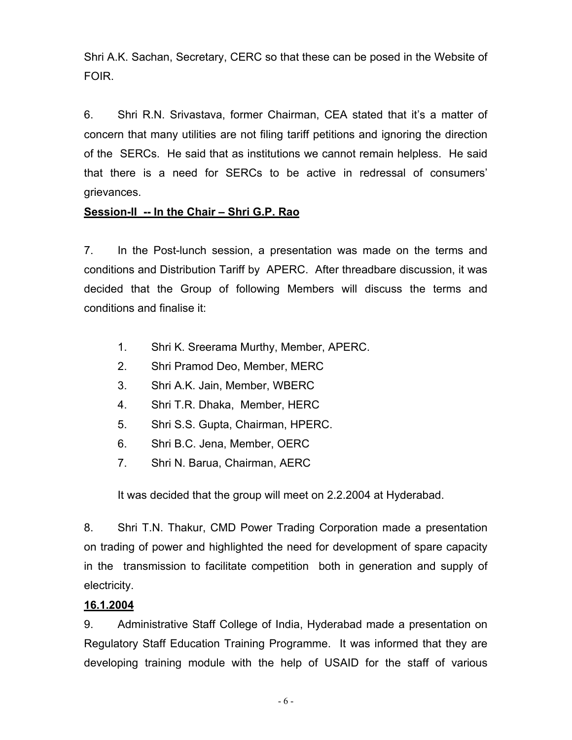Shri A.K. Sachan, Secretary, CERC so that these can be posed in the Website of FOIR.

6. Shri R.N. Srivastava, former Chairman, CEA stated that it's a matter of concern that many utilities are not filing tariff petitions and ignoring the direction of the SERCs. He said that as institutions we cannot remain helpless. He said that there is a need for SERCs to be active in redressal of consumers' grievances.

### **Session-II -- In the Chair – Shri G.P. Rao**

7. In the Post-lunch session, a presentation was made on the terms and conditions and Distribution Tariff by APERC. After threadbare discussion, it was decided that the Group of following Members will discuss the terms and conditions and finalise it:

- 1. Shri K. Sreerama Murthy, Member, APERC.
- 2. Shri Pramod Deo, Member, MERC
- 3. Shri A.K. Jain, Member, WBERC
- 4. Shri T.R. Dhaka, Member, HERC
- 5. Shri S.S. Gupta, Chairman, HPERC.
- 6. Shri B.C. Jena, Member, OERC
- 7. Shri N. Barua, Chairman, AERC

It was decided that the group will meet on 2.2.2004 at Hyderabad.

8. Shri T.N. Thakur, CMD Power Trading Corporation made a presentation on trading of power and highlighted the need for development of spare capacity in the transmission to facilitate competition both in generation and supply of electricity.

# **16.1.2004**

9. Administrative Staff College of India, Hyderabad made a presentation on Regulatory Staff Education Training Programme. It was informed that they are developing training module with the help of USAID for the staff of various